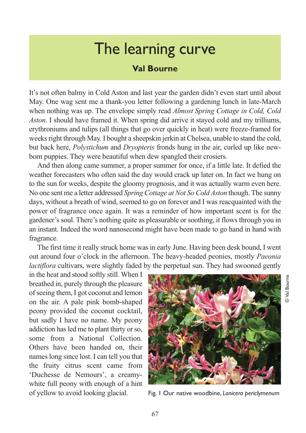## The learning curve

## **Val Bourne**

It's not often balmy in Cold Aston and last year the garden didn't even start until about May. One wag sent me a thank-you letter following a gardening lunch in late-March when nothing was up. The envelope simply read *Almost Spring Cottage in Cold, Cold Aston*. I should have framed it. When spring did arrive it stayed cold and my trilliums, erythroniums and tulips (all things that go over quickly in heat) were freeze-framed for weeks right through May. I bought a sheepskin jerkin at Chelsea, unable to stand the cold, but back here, *Polystichum* and *Dryopteris* fronds hung in the air, curled up like newborn puppies. They were beautiful when dew spangled their crosiers.

And then along came summer, a proper summer for once, if a little late. It defied the weather forecasters who often said the day would crack up later on. In fact we hung on to the sun for weeks, despite the gloomy prognosis, and it was actually warm even here. No one sent me a letter addressed *Spring Cottage at Not So Cold Aston* though. The sunny days, without a breath of wind, seemed to go on forever and I was reacquainted with the power of fragrance once again. It was a reminder of how important scent is for the gardener's soul. There's nothing quite as pleasurable or soothing, it flows through you in an instant. Indeed the word nanosecond might have been made to go hand in hand with fragrance.

The first time it really struck home was in early June. Having been desk bound, I went out around four o'clock in the afternoon. The heavy-headed peonies, mostly *Paeonia lactiflora* cultivars, were slightly faded by the perpetual sun. They had swooned gently

in the heat and stood softly still. When I breathed in, purely through the pleasure of seeing them, I got coconut and lemon on the air. A pale pink bomb-shaped peony provided the coconut cocktail, but sadly I have no name. My peony addiction has led me to plant thirty or so, some from a National Collection. Others have been handed on, their names long since lost. I can tell you that the fruity citrus scent came from 'Duchesse de Nemours', a creamywhite full peony with enough of a hint of yellow to avoid looking glacial.



Fig. 1 Our native woodbine, *Lonicera periclymenum*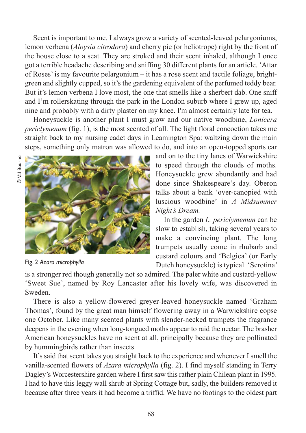Scent is important to me. I always grow a variety of scented-leaved pelargoniums, lemon verbena (*Aloysia citrodora*) and cherry pie (or heliotrope) right by the front of the house close to a seat. They are stroked and their scent inhaled, although I once got a terrible headache describing and sniffing 30 different plants for an article. 'Attar of Roses' is my favourite pelargonium – it has a rose scent and tactile foliage, brightgreen and slightly cupped, so it's the gardening equivalent of the perfumed teddy bear. But it's lemon verbena I love most, the one that smells like a sherbert dab. One sniff and I'm rollerskating through the park in the London suburb where I grew up, aged nine and probably with a dirty plaster on my knee. I'm almost certainly late for tea.

Honeysuckle is another plant I must grow and our native woodbine, *Lonicera periclymenum* (fig. 1), is the most scented of all. The light floral concoction takes me straight back to my nursing cadet days in Leamington Spa: waltzing down the main steps, something only matron was allowed to do, and into an open-topped sports car



Fig. 2 *Azara microphylla*

and on to the tiny lanes of Warwickshire to speed through the clouds of moths. Honeysuckle grew abundantly and had done since Shakespeare's day. Oberon talks about a bank 'over-canopied with luscious woodbine' in *A Midsummer Night's Dream.*

In the garden *L. periclymenum* can be slow to establish, taking several years to make a convincing plant. The long trumpets usually come in rhubarb and custard colours and 'Belgica' (or Early Dutch honeysuckle) is typical. 'Serotina'

is a stronger red though generally not so admired. The paler white and custard-yellow 'Sweet Sue', named by Roy Lancaster after his lovely wife, was discovered in Sweden.

There is also a yellow-flowered greyer-leaved honeysuckle named 'Graham Thomas', found by the great man himself flowering away in a Warwickshire copse one October. Like many scented plants with slender-necked trumpets the fragrance deepens in the evening when long-tongued moths appear to raid the nectar. The brasher American honeysuckles have no scent at all, principally because they are pollinated by hummingbirds rather than insects.

It's said that scent takes you straight back to the experience and whenever I smell the vanilla-scented flowers of *Azara microphylla* (fig. 2). I find myself standing in Terry Dagley's Worcestershire garden where I first saw this rather plain Chilean plant in 1995. I had to have this leggy wall shrub at Spring Cottage but, sadly, the builders removed it because after three years it had become a triffid. We have no footings to the oldest part